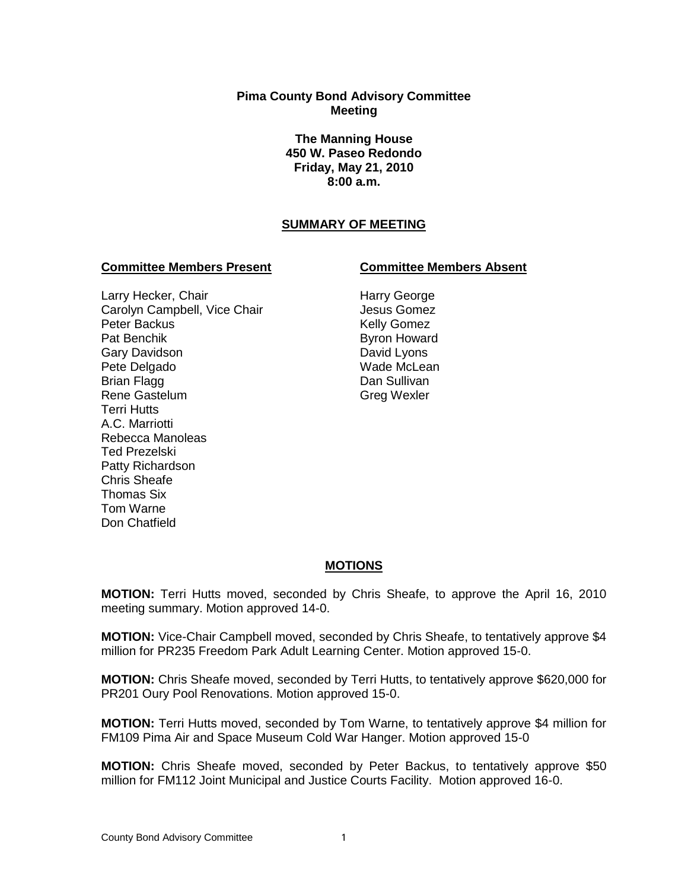### **Pima County Bond Advisory Committee Meeting**

**The Manning House 450 W. Paseo Redondo Friday, May 21, 2010 8:00 a.m.**

# **SUMMARY OF MEETING**

### **Committee Members Present Committee Members Absent**

### Larry Hecker, Chair Carolyn Campbell, Vice Chair Peter Backus Pat Benchik Gary Davidson Pete Delgado Brian Flagg Rene Gastelum Terri Hutts A.C. Marriotti Rebecca Manoleas Ted Prezelski Patty Richardson Chris Sheafe Thomas Six Tom Warne Don Chatfield

Harry George Jesus Gomez Kelly Gomez Byron Howard David Lyons Wade McLean Dan Sullivan Greg Wexler

# **MOTIONS**

**MOTION:** Terri Hutts moved, seconded by Chris Sheafe, to approve the April 16, 2010 meeting summary. Motion approved 14-0.

**MOTION:** Vice-Chair Campbell moved, seconded by Chris Sheafe, to tentatively approve \$4 million for PR235 Freedom Park Adult Learning Center. Motion approved 15-0.

**MOTION:** Chris Sheafe moved, seconded by Terri Hutts, to tentatively approve \$620,000 for PR201 Oury Pool Renovations. Motion approved 15-0.

**MOTION:** Terri Hutts moved, seconded by Tom Warne, to tentatively approve \$4 million for FM109 Pima Air and Space Museum Cold War Hanger. Motion approved 15-0

**MOTION:** Chris Sheafe moved, seconded by Peter Backus, to tentatively approve \$50 million for FM112 Joint Municipal and Justice Courts Facility. Motion approved 16-0.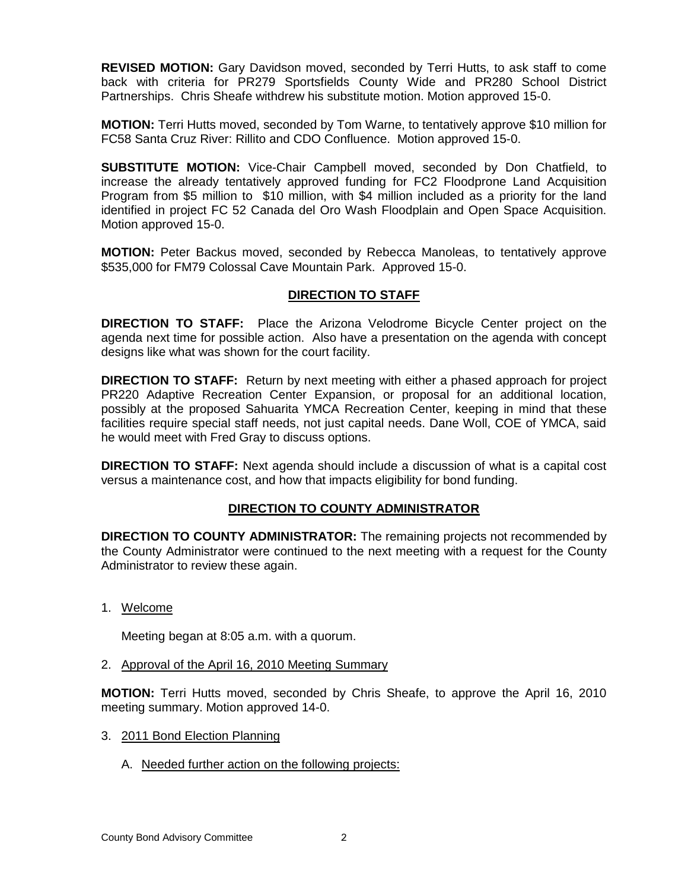**REVISED MOTION:** Gary Davidson moved, seconded by Terri Hutts, to ask staff to come back with criteria for PR279 Sportsfields County Wide and PR280 School District Partnerships. Chris Sheafe withdrew his substitute motion. Motion approved 15-0.

**MOTION:** Terri Hutts moved, seconded by Tom Warne, to tentatively approve \$10 million for FC58 Santa Cruz River: Rillito and CDO Confluence. Motion approved 15-0.

**SUBSTITUTE MOTION:** Vice-Chair Campbell moved, seconded by Don Chatfield, to increase the already tentatively approved funding for FC2 Floodprone Land Acquisition Program from \$5 million to \$10 million, with \$4 million included as a priority for the land identified in project FC 52 Canada del Oro Wash Floodplain and Open Space Acquisition. Motion approved 15-0.

**MOTION:** Peter Backus moved, seconded by Rebecca Manoleas, to tentatively approve \$535,000 for FM79 Colossal Cave Mountain Park. Approved 15-0.

## **DIRECTION TO STAFF**

**DIRECTION TO STAFF:** Place the Arizona Velodrome Bicycle Center project on the agenda next time for possible action. Also have a presentation on the agenda with concept designs like what was shown for the court facility.

**DIRECTION TO STAFF:** Return by next meeting with either a phased approach for project PR220 Adaptive Recreation Center Expansion, or proposal for an additional location, possibly at the proposed Sahuarita YMCA Recreation Center, keeping in mind that these facilities require special staff needs, not just capital needs. Dane Woll, COE of YMCA, said he would meet with Fred Gray to discuss options.

**DIRECTION TO STAFF:** Next agenda should include a discussion of what is a capital cost versus a maintenance cost, and how that impacts eligibility for bond funding.

## **DIRECTION TO COUNTY ADMINISTRATOR**

**DIRECTION TO COUNTY ADMINISTRATOR:** The remaining projects not recommended by the County Administrator were continued to the next meeting with a request for the County Administrator to review these again.

1. Welcome

Meeting began at 8:05 a.m. with a quorum.

2. Approval of the April 16, 2010 Meeting Summary

**MOTION:** Terri Hutts moved, seconded by Chris Sheafe, to approve the April 16, 2010 meeting summary. Motion approved 14-0.

- 3. 2011 Bond Election Planning
	- A. Needed further action on the following projects: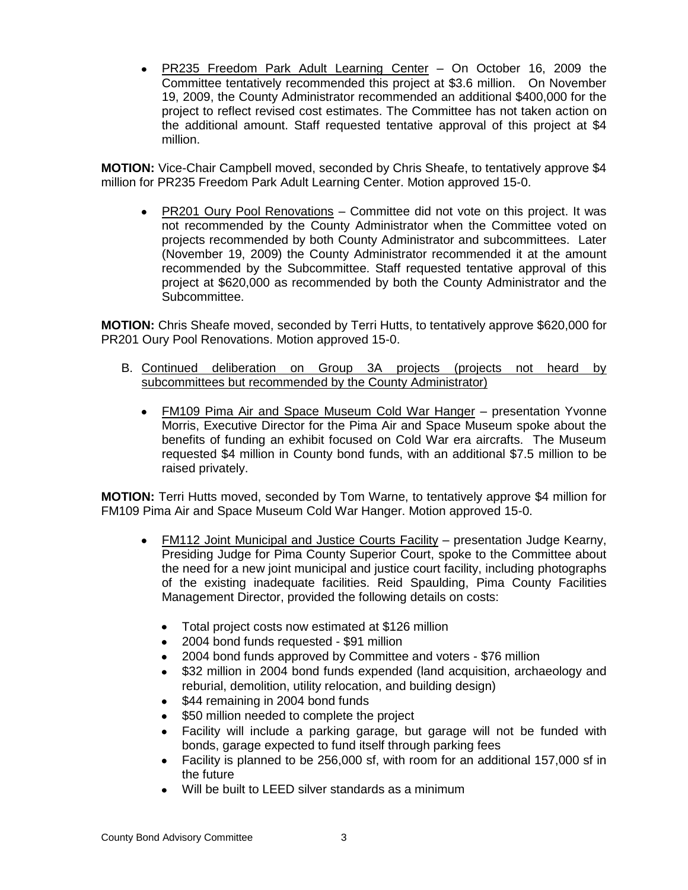PR235 Freedom Park Adult Learning Center – On October 16, 2009 the Committee tentatively recommended this project at \$3.6 million. On November 19, 2009, the County Administrator recommended an additional \$400,000 for the project to reflect revised cost estimates. The Committee has not taken action on the additional amount. Staff requested tentative approval of this project at \$4 million.

**MOTION:** Vice-Chair Campbell moved, seconded by Chris Sheafe, to tentatively approve \$4 million for PR235 Freedom Park Adult Learning Center. Motion approved 15-0.

PR201 Oury Pool Renovations – Committee did not vote on this project. It was  $\bullet$ not recommended by the County Administrator when the Committee voted on projects recommended by both County Administrator and subcommittees. Later (November 19, 2009) the County Administrator recommended it at the amount recommended by the Subcommittee. Staff requested tentative approval of this project at \$620,000 as recommended by both the County Administrator and the Subcommittee.

**MOTION:** Chris Sheafe moved, seconded by Terri Hutts, to tentatively approve \$620,000 for PR201 Oury Pool Renovations. Motion approved 15-0.

- B. Continued deliberation on Group 3A projects (projects not heard by subcommittees but recommended by the County Administrator)
	- FM109 Pima Air and Space Museum Cold War Hanger presentation Yvonne  $\bullet$ Morris, Executive Director for the Pima Air and Space Museum spoke about the benefits of funding an exhibit focused on Cold War era aircrafts. The Museum requested \$4 million in County bond funds, with an additional \$7.5 million to be raised privately.

**MOTION:** Terri Hutts moved, seconded by Tom Warne, to tentatively approve \$4 million for FM109 Pima Air and Space Museum Cold War Hanger. Motion approved 15-0.

- FM112 Joint Municipal and Justice Courts Facility presentation Judge Kearny,  $\bullet$ Presiding Judge for Pima County Superior Court, spoke to the Committee about the need for a new joint municipal and justice court facility, including photographs of the existing inadequate facilities. Reid Spaulding, Pima County Facilities Management Director, provided the following details on costs:
	- $\bullet$ Total project costs now estimated at \$126 million
	- $\bullet$ 2004 bond funds requested - \$91 million
	- 2004 bond funds approved by Committee and voters \$76 million  $\bullet$
	- \$32 million in 2004 bond funds expended (land acquisition, archaeology and  $\bullet$ reburial, demolition, utility relocation, and building design)
	- \$44 remaining in 2004 bond funds
	- \$50 million needed to complete the project  $\blacksquare$
	- Facility will include a parking garage, but garage will not be funded with  $\bullet$ bonds, garage expected to fund itself through parking fees
	- Facility is planned to be 256,000 sf, with room for an additional 157,000 sf in the future
	- Will be built to LEED silver standards as a minimum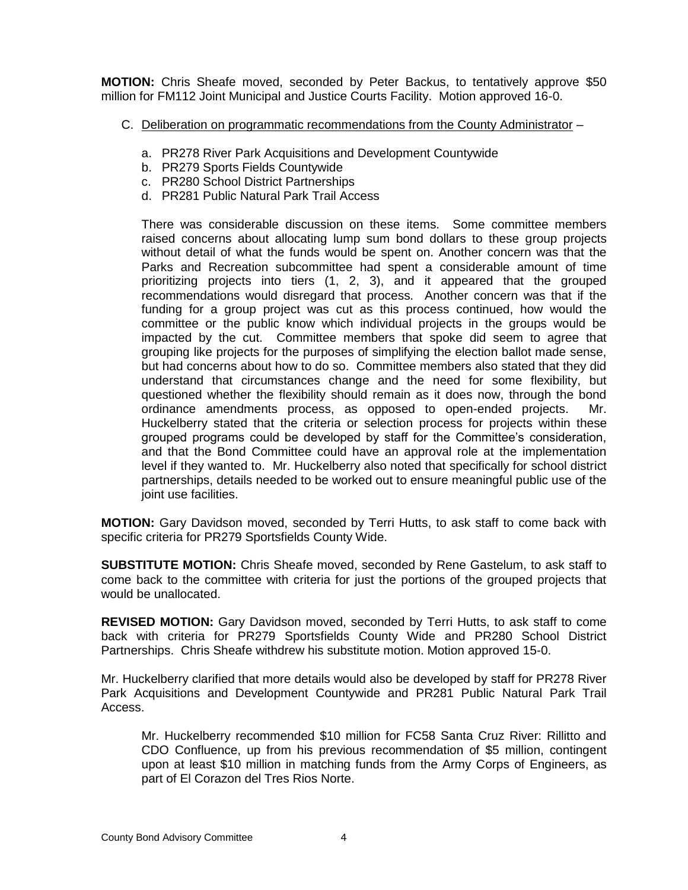**MOTION:** Chris Sheafe moved, seconded by Peter Backus, to tentatively approve \$50 million for FM112 Joint Municipal and Justice Courts Facility. Motion approved 16-0.

- C. Deliberation on programmatic recommendations from the County Administrator
	- a. PR278 River Park Acquisitions and Development Countywide
	- b. PR279 Sports Fields Countywide
	- c. PR280 School District Partnerships
	- d. PR281 Public Natural Park Trail Access

There was considerable discussion on these items. Some committee members raised concerns about allocating lump sum bond dollars to these group projects without detail of what the funds would be spent on. Another concern was that the Parks and Recreation subcommittee had spent a considerable amount of time prioritizing projects into tiers (1, 2, 3), and it appeared that the grouped recommendations would disregard that process. Another concern was that if the funding for a group project was cut as this process continued, how would the committee or the public know which individual projects in the groups would be impacted by the cut. Committee members that spoke did seem to agree that grouping like projects for the purposes of simplifying the election ballot made sense, but had concerns about how to do so. Committee members also stated that they did understand that circumstances change and the need for some flexibility, but questioned whether the flexibility should remain as it does now, through the bond ordinance amendments process, as opposed to open-ended projects. Mr. Huckelberry stated that the criteria or selection process for projects within these grouped programs could be developed by staff for the Committee's consideration, and that the Bond Committee could have an approval role at the implementation level if they wanted to. Mr. Huckelberry also noted that specifically for school district partnerships, details needed to be worked out to ensure meaningful public use of the joint use facilities.

**MOTION:** Gary Davidson moved, seconded by Terri Hutts, to ask staff to come back with specific criteria for PR279 Sportsfields County Wide.

**SUBSTITUTE MOTION:** Chris Sheafe moved, seconded by Rene Gastelum, to ask staff to come back to the committee with criteria for just the portions of the grouped projects that would be unallocated.

**REVISED MOTION:** Gary Davidson moved, seconded by Terri Hutts, to ask staff to come back with criteria for PR279 Sportsfields County Wide and PR280 School District Partnerships. Chris Sheafe withdrew his substitute motion. Motion approved 15-0.

Mr. Huckelberry clarified that more details would also be developed by staff for PR278 River Park Acquisitions and Development Countywide and PR281 Public Natural Park Trail Access.

Mr. Huckelberry recommended \$10 million for FC58 Santa Cruz River: Rillitto and CDO Confluence, up from his previous recommendation of \$5 million, contingent upon at least \$10 million in matching funds from the Army Corps of Engineers, as part of El Corazon del Tres Rios Norte.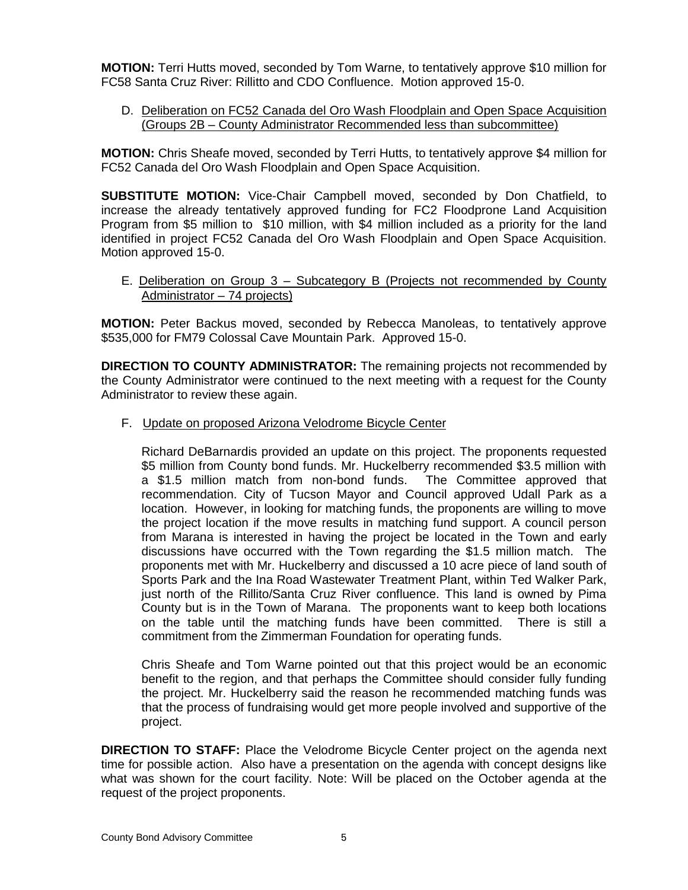**MOTION:** Terri Hutts moved, seconded by Tom Warne, to tentatively approve \$10 million for FC58 Santa Cruz River: Rillitto and CDO Confluence. Motion approved 15-0.

D. Deliberation on FC52 Canada del Oro Wash Floodplain and Open Space Acquisition (Groups 2B – County Administrator Recommended less than subcommittee)

**MOTION:** Chris Sheafe moved, seconded by Terri Hutts, to tentatively approve \$4 million for FC52 Canada del Oro Wash Floodplain and Open Space Acquisition.

**SUBSTITUTE MOTION:** Vice-Chair Campbell moved, seconded by Don Chatfield, to increase the already tentatively approved funding for FC2 Floodprone Land Acquisition Program from \$5 million to \$10 million, with \$4 million included as a priority for the land identified in project FC52 Canada del Oro Wash Floodplain and Open Space Acquisition. Motion approved 15-0.

E. Deliberation on Group 3 – Subcategory B (Projects not recommended by County Administrator – 74 projects)

**MOTION:** Peter Backus moved, seconded by Rebecca Manoleas, to tentatively approve \$535,000 for FM79 Colossal Cave Mountain Park. Approved 15-0.

**DIRECTION TO COUNTY ADMINISTRATOR:** The remaining projects not recommended by the County Administrator were continued to the next meeting with a request for the County Administrator to review these again.

F. Update on proposed Arizona Velodrome Bicycle Center

Richard DeBarnardis provided an update on this project. The proponents requested \$5 million from County bond funds. Mr. Huckelberry recommended \$3.5 million with a \$1.5 million match from non-bond funds. The Committee approved that recommendation. City of Tucson Mayor and Council approved Udall Park as a location. However, in looking for matching funds, the proponents are willing to move the project location if the move results in matching fund support. A council person from Marana is interested in having the project be located in the Town and early discussions have occurred with the Town regarding the \$1.5 million match. The proponents met with Mr. Huckelberry and discussed a 10 acre piece of land south of Sports Park and the Ina Road Wastewater Treatment Plant, within Ted Walker Park, just north of the Rillito/Santa Cruz River confluence. This land is owned by Pima County but is in the Town of Marana. The proponents want to keep both locations on the table until the matching funds have been committed. There is still a commitment from the Zimmerman Foundation for operating funds.

Chris Sheafe and Tom Warne pointed out that this project would be an economic benefit to the region, and that perhaps the Committee should consider fully funding the project. Mr. Huckelberry said the reason he recommended matching funds was that the process of fundraising would get more people involved and supportive of the project.

**DIRECTION TO STAFF:** Place the Velodrome Bicycle Center project on the agenda next time for possible action. Also have a presentation on the agenda with concept designs like what was shown for the court facility. Note: Will be placed on the October agenda at the request of the project proponents.